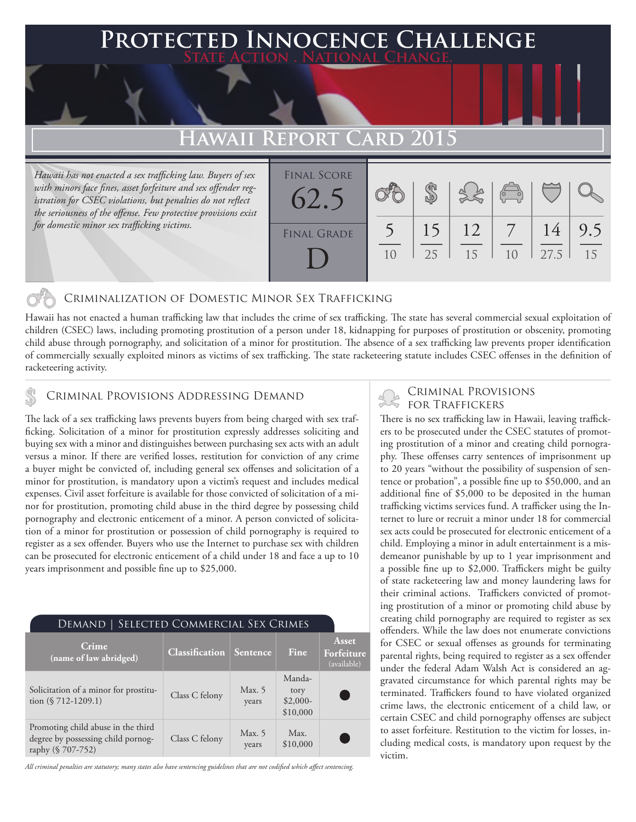### **FED INNOCENCE CHALLENGE State Action . National Change.**

## **REPORT CARD 2015**

*Hawaii has not enacted a sex trafficking law. Buyers of sex with minors face fines, asset forfeiture and sex offender registration for CSEC violations, but penalties do not reflect the seriousness of the offense. Few protective provisions exist for domestic minor sex trafficking victims.*

| <b>FINAL SCORE</b><br>62.5 |    |          | $\approx$ $\approx$ | $\begin{array}{c} \sqrt{2} \\ \sqrt{2} \\ \sqrt{2} \end{array}$ |            |           |
|----------------------------|----|----------|---------------------|-----------------------------------------------------------------|------------|-----------|
| <b>FINAL GRADE</b>         | 10 | 15<br>25 | 12<br>15            | 1 <sub>0</sub>                                                  | 14<br>27.5 | 9.5<br>15 |
|                            |    |          |                     |                                                                 |            |           |

### Criminalization of Domestic Minor Sex Trafficking

Hawaii has not enacted a human trafficking law that includes the crime of sex trafficking. The state has several commercial sexual exploitation of children (CSEC) laws, including promoting prostitution of a person under 18, kidnapping for purposes of prostitution or obscenity, promoting child abuse through pornography, and solicitation of a minor for prostitution. The absence of a sex trafficking law prevents proper identification of commercially sexually exploited minors as victims of sex trafficking. The state racketeering statute includes CSEC offenses in the definition of racketeering activity.

## CRIMINAL PROVISIONS ADDRESSING DEMAND<br>FOR TRAFFICKERS

The lack of a sex trafficking laws prevents buyers from being charged with sex trafficking. Solicitation of a minor for prostitution expressly addresses soliciting and buying sex with a minor and distinguishes between purchasing sex acts with an adult versus a minor. If there are verified losses, restitution for conviction of any crime a buyer might be convicted of, including general sex offenses and solicitation of a minor for prostitution, is mandatory upon a victim's request and includes medical expenses. Civil asset forfeiture is available for those convicted of solicitation of a minor for prostitution, promoting child abuse in the third degree by possessing child pornography and electronic enticement of a minor. A person convicted of solicitation of a minor for prostitution or possession of child pornography is required to register as a sex offender. Buyers who use the Internet to purchase sex with children can be prosecuted for electronic enticement of a child under 18 and face a up to 10 years imprisonment and possible fine up to \$25,000.

| SELECTED COMMERCIAL SEX CRIMES<br>Demand                                                      |                       |                   |                                         |                                           |  |  |  |  |
|-----------------------------------------------------------------------------------------------|-----------------------|-------------------|-----------------------------------------|-------------------------------------------|--|--|--|--|
| Crime<br>(name of law abridged)                                                               | <b>Classification</b> | <b>Sentence</b>   | Fine                                    | <b>Asset</b><br>Forfeiture<br>(available) |  |  |  |  |
| Solicitation of a minor for prostitu-<br>tion $(\$ 712-1209.1)$                               | Class C felony        | Max. $5$<br>years | Manda-<br>tory<br>$$2,000-$<br>\$10,000 |                                           |  |  |  |  |
| Promoting child abuse in the third<br>degree by possessing child pornog-<br>raphy (§ 707-752) | Class C felony        | Max. $5$<br>years | Max.<br>\$10,000                        |                                           |  |  |  |  |

*All criminal penalties are statutory; many states also have sentencing guidelines that are not codified which affect sentencing.* 

# Criminal Provisions

There is no sex trafficking law in Hawaii, leaving traffickers to be prosecuted under the CSEC statutes of promoting prostitution of a minor and creating child pornography. These offenses carry sentences of imprisonment up to 20 years "without the possibility of suspension of sentence or probation", a possible fine up to \$50,000, and an additional fine of \$5,000 to be deposited in the human trafficking victims services fund. A trafficker using the Internet to lure or recruit a minor under 18 for commercial sex acts could be prosecuted for electronic enticement of a child. Employing a minor in adult entertainment is a misdemeanor punishable by up to 1 year imprisonment and a possible fine up to \$2,000. Traffickers might be guilty of state racketeering law and money laundering laws for their criminal actions. Traffickers convicted of promoting prostitution of a minor or promoting child abuse by creating child pornography are required to register as sex offenders. While the law does not enumerate convictions for CSEC or sexual offenses as grounds for terminating parental rights, being required to register as a sex offender under the federal Adam Walsh Act is considered an aggravated circumstance for which parental rights may be terminated. Traffickers found to have violated organized crime laws, the electronic enticement of a child law, or certain CSEC and child pornography offenses are subject to asset forfeiture. Restitution to the victim for losses, including medical costs, is mandatory upon request by the victim.